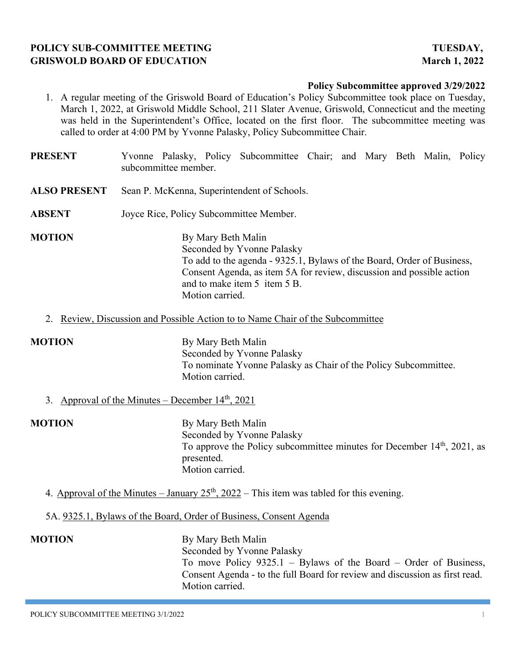# **POLICY SUB-COMMITTEE MEETING TUESDAY, GRISWOLD BOARD OF EDUCATION March 1, 2022**

### **Policy Subcommittee approved 3/29/2022**

- 1. A regular meeting of the Griswold Board of Education's Policy Subcommittee took place on Tuesday, March 1, 2022, at Griswold Middle School, 211 Slater Avenue, Griswold, Connecticut and the meeting was held in the Superintendent's Office, located on the first floor. The subcommittee meeting was called to order at 4:00 PM by Yvonne Palasky, Policy Subcommittee Chair.
- **PRESENT** Yvonne Palasky, Policy Subcommittee Chair; and Mary Beth Malin, Policy subcommittee member.
- **ALSO PRESENT** Sean P. McKenna, Superintendent of Schools.
- **ABSENT** Joyce Rice, Policy Subcommittee Member.
- **MOTION** By Mary Beth Malin Seconded by Yvonne Palasky To add to the agenda - 9325.1, Bylaws of the Board, Order of Business, Consent Agenda, as item 5A for review, discussion and possible action and to make item 5 item 5 B. Motion carried.
	- 2. Review, Discussion and Possible Action to to Name Chair of the Subcommittee

**MOTION** By Mary Beth Malin Seconded by Yvonne Palasky To nominate Yvonne Palasky as Chair of the Policy Subcommittee. Motion carried.

3. Approval of the Minutes – December  $14<sup>th</sup>$ , 2021

**MOTION** By Mary Beth Malin Seconded by Yvonne Palasky To approve the Policy subcommittee minutes for December  $14<sup>th</sup>$ , 2021, as presented. Motion carried.

- 4. Approval of the Minutes January  $25<sup>th</sup>$ ,  $2022$  This item was tabled for this evening.
- 5A. 9325.1, Bylaws of the Board, Order of Business, Consent Agenda

**MOTION** By Mary Beth Malin Seconded by Yvonne Palasky To move Policy 9325.1 – Bylaws of the Board – Order of Business, Consent Agenda - to the full Board for review and discussion as first read. Motion carried.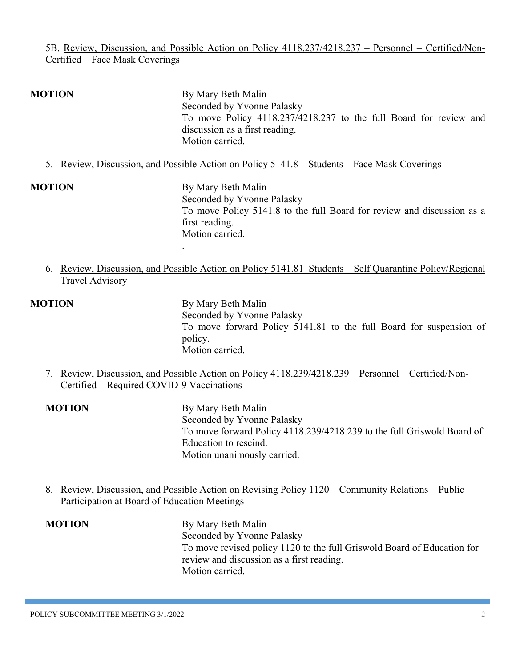### 5B. Review, Discussion, and Possible Action on Policy 4118.237/4218.237 – Personnel – Certified/Non-Certified – Face Mask Coverings

# **MOTION** By Mary Beth Malin Seconded by Yvonne Palasky To move Policy 4118.237/4218.237 to the full Board for review and discussion as a first reading. Motion carried.

5. Review, Discussion, and Possible Action on Policy 5141.8 – Students – Face Mask Coverings

**MOTION** By Mary Beth Malin Seconded by Yvonne Palasky To move Policy 5141.8 to the full Board for review and discussion as a first reading. Motion carried. .

6. Review, Discussion, and Possible Action on Policy 5141.81 Students – Self Quarantine Policy/Regional Travel Advisory

**MOTION** By Mary Beth Malin Seconded by Yvonne Palasky To move forward Policy 5141.81 to the full Board for suspension of policy. Motion carried.

- 7. Review, Discussion, and Possible Action on Policy 4118.239/4218.239 Personnel Certified/Non-Certified – Required COVID-9 Vaccinations
- **MOTION** By Mary Beth Malin Seconded by Yvonne Palasky To move forward Policy 4118.239/4218.239 to the full Griswold Board of Education to rescind. Motion unanimously carried.
- 8. Review, Discussion, and Possible Action on Revising Policy 1120 Community Relations Public Participation at Board of Education Meetings

# **MOTION** By Mary Beth Malin Seconded by Yvonne Palasky To move revised policy 1120 to the full Griswold Board of Education for review and discussion as a first reading. Motion carried.